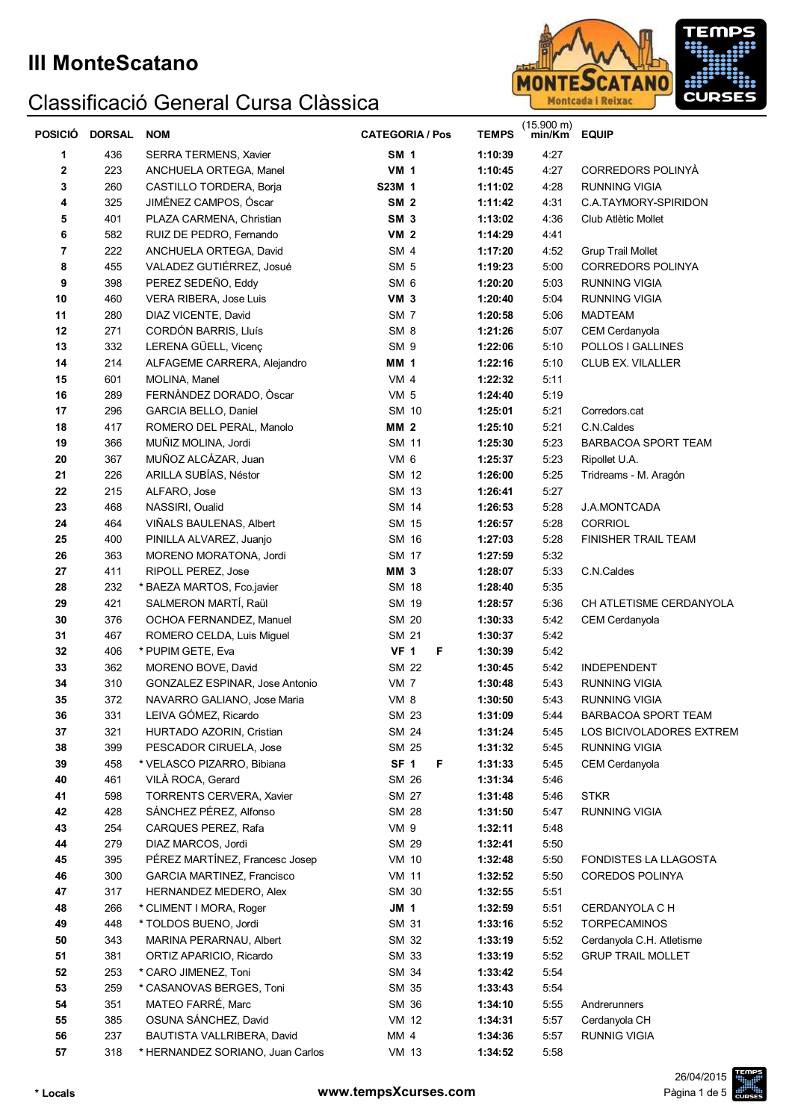

| <b>POSICIÓ</b> | <b>DORSAL</b> | <b>NOM</b>                        | <b>CATEGORIA / Pos</b> | <b>TEMPS</b> | $(15.900 \text{ m})$<br>min/Km | <b>EQUIP</b>               |
|----------------|---------------|-----------------------------------|------------------------|--------------|--------------------------------|----------------------------|
| 1              | 436           | SERRA TERMENS, Xavier             | <b>SM 1</b>            | 1:10:39      | 4:27                           |                            |
| 2              | 223           | ANCHUELA ORTEGA, Manel            | <b>VM 1</b>            | 1:10:45      | 4:27                           | CORREDORS POLINYÀ          |
| 3              | 260           | CASTILLO TORDERA, Borja           | S23M 1                 | 1:11:02      | 4:28                           | <b>RUNNING VIGIA</b>       |
| 4              | 325           | JIMÉNEZ CAMPOS, Óscar             | <b>SM 2</b>            | 1:11:42      | 4:31                           | C.A.TAYMORY-SPIRIDON       |
| 5              | 401           | PLAZA CARMENA, Christian          | SM <sub>3</sub>        | 1:13:02      | 4:36                           | Club Atlètic Mollet        |
| 6              | 582           | RUIZ DE PEDRO, Fernando           | <b>VM 2</b>            | 1:14:29      | 4:41                           |                            |
| 7              | 222           | ANCHUELA ORTEGA, David            | SM 4                   | 1:17:20      | 4:52                           | <b>Grup Trail Mollet</b>   |
| 8              | 455           | VALADEZ GUTIÉRREZ, Josué          | SM <sub>5</sub>        | 1:19:23      | 5:00                           | <b>CORREDORS POLINYA</b>   |
| 9              | 398           | PEREZ SEDEÑO, Eddy                | SM <sub>6</sub>        | 1:20:20      | 5:03                           | <b>RUNNING VIGIA</b>       |
| 10             | 460           | VERA RIBERA, Jose Luis            | VM <sub>3</sub>        | 1:20:40      | 5:04                           | <b>RUNNING VIGIA</b>       |
| 11             | 280           | DIAZ VICENTE, David               | SM 7                   | 1:20:58      | 5:06                           | <b>MADTEAM</b>             |
| 12             | 271           | CORDÓN BARRIS, Lluís              | SM <sub>8</sub>        | 1:21:26      | 5:07                           | CEM Cerdanyola             |
| 13             | 332           | LERENA GÜELL, Vicenç              | SM <sub>9</sub>        | 1:22:06      | 5:10                           | POLLOS I GALLINES          |
| 14             | 214           | ALFAGEME CARRERA, Alejandro       | <b>MM 1</b>            | 1:22:16      | 5:10                           | CLUB EX. VILALLER          |
| 15             | 601           | MOLINA, Manel                     | VM <sub>4</sub>        | 1:22:32      | 5:11                           |                            |
| 16             | 289           | FERNÀNDEZ DORADO, Òscar           | <b>VM 5</b>            | 1:24:40      | 5:19                           |                            |
| 17             | 296           | GARCIA BELLO, Daniel              | SM 10                  | 1:25:01      | 5:21                           | Corredors.cat              |
| 18             | 417           | ROMERO DEL PERAL, Manolo          | <b>MM 2</b>            | 1:25:10      | 5:21                           | C.N.Caldes                 |
| 19             | 366           | MUÑIZ MOLINA, Jordi               | SM 11                  | 1:25:30      | 5:23                           | <b>BARBACOA SPORT TEAM</b> |
| 20             | 367           | MUÑOZ ALCÁZAR, Juan               | VM 6                   | 1:25:37      | 5:23                           | Ripollet U.A.              |
| 21             | 226           | ARILLA SUBÍAS, Néstor             | SM 12                  | 1:26:00      | 5:25                           | Tridreams - M. Aragón      |
| 22             | 215           | ALFARO, Jose                      | SM 13                  | 1:26:41      | 5:27                           |                            |
| 23             | 468           | NASSIRI, Oualid                   | SM 14                  | 1:26:53      | 5:28                           | J.A.MONTCADA               |
| 24             | 464           | VIÑALS BAULENAS, Albert           | SM 15                  | 1:26:57      | 5:28                           | <b>CORRIOL</b>             |
| 25             | 400           | PINILLA ALVAREZ, Juanjo           | SM 16                  | 1:27:03      | 5:28                           | FINISHER TRAIL TEAM        |
| 26             | 363           | MORENO MORATONA, Jordi            | SM 17                  | 1:27:59      | 5:32                           |                            |
| 27             | 411           | RIPOLL PEREZ, Jose                | <b>MM 3</b>            | 1:28:07      | 5:33                           | C.N.Caldes                 |
| 28             | 232           | * BAEZA MARTOS, Fco.javier        | <b>SM 18</b>           | 1:28:40      | 5:35                           |                            |
| 29             | 421           | SALMERON MARTÍ, Raül              | SM 19                  | 1:28:57      | 5:36                           | CH ATLETISME CERDANYOLA    |
| 30             | 376           | OCHOA FERNANDEZ, Manuel           | SM 20                  | 1:30:33      | 5:42                           | CEM Cerdanyola             |
| 31             | 467           | ROMERO CELDA, Luis Miguel         | SM 21                  | 1:30:37      | 5:42                           |                            |
| 32             | 406           | * PUPIM GETE, Eva                 | <b>VF 1</b><br>F       | 1:30:39      | 5:42                           |                            |
| 33             | 362           | MORENO BOVE, David                | <b>SM 22</b>           | 1:30:45      | 5:42                           | <b>INDEPENDENT</b>         |
| 34             | 310           | GONZALEZ ESPINAR, Jose Antonio    | <b>VM 7</b>            | 1:30:48      | 5:43                           | RUNNING VIGIA              |
| 35             | 372           | NAVARRO GALIANO, Jose Maria       | <b>VM 8</b>            | 1:30:50      | 5:43                           | <b>RUNNING VIGIA</b>       |
| 36             | 331           | LEIVA GÓMEZ, Ricardo              | SM 23                  | 1:31:09      | 5:44                           | BARBACOA SPORT TEAM        |
| 37             | 321           | HURTADO AZORIN, Cristian          | SM 24                  | 1:31:24      | 5:45                           | LOS BICIVOLADORES EXTREM   |
| 38             | 399           | PESCADOR CIRUELA, Jose            | SM 25                  | 1:31:32      | 5:45                           | <b>RUNNING VIGIA</b>       |
| 39             | 458           | * VELASCO PIZARRO, Bibiana        | SF <sub>1</sub><br>F   | 1:31:33      | 5:45                           | CEM Cerdanyola             |
| 40             | 461           | VILÀ ROCA, Gerard                 | <b>SM 26</b>           | 1:31:34      | 5:46                           |                            |
| 41             | 598           | <b>TORRENTS CERVERA, Xavier</b>   | SM 27                  | 1:31:48      | 5:46                           | <b>STKR</b>                |
| 42             | 428           | SÁNCHEZ PÉREZ, Alfonso            | <b>SM 28</b>           | 1:31:50      | 5:47                           | <b>RUNNING VIGIA</b>       |
| 43             | 254           | CARQUES PEREZ, Rafa               | VM 9                   | 1:32:11      | 5:48                           |                            |
| 44             | 279           | DIAZ MARCOS, Jordi                | SM 29                  | 1:32:41      | 5:50                           |                            |
| 45             | 395           | PÉREZ MARTÍNEZ, Francesc Josep    | <b>VM 10</b>           | 1:32:48      | 5:50                           | FONDISTES LA LLAGOSTA      |
| 46             | 300           | <b>GARCIA MARTINEZ, Francisco</b> | <b>VM 11</b>           | 1:32:52      | 5:50                           | <b>COREDOS POLINYA</b>     |
| 47             | 317           | HERNANDEZ MEDERO, Alex            | SM 30                  | 1:32:55      | 5:51                           |                            |
| 48             | 266           | * CLIMENT I MORA, Roger           | JM 1                   | 1:32:59      | 5:51                           | CERDANYOLA C H             |
| 49             | 448           | * TOLDOS BUENO, Jordi             | SM 31                  | 1:33:16      | 5:52                           | <b>TORPECAMINOS</b>        |
| 50             | 343           | MARINA PERARNAU, Albert           | SM 32                  | 1:33:19      | 5:52                           | Cerdanyola C.H. Atletisme  |
| 51             | 381           | ORTIZ APARICIO, Ricardo           | SM 33                  | 1:33:19      | 5:52                           | <b>GRUP TRAIL MOLLET</b>   |
| 52             | 253           | * CARO JIMENEZ, Toni              | SM 34                  | 1:33:42      | 5:54                           |                            |
| 53             | 259           | * CASANOVAS BERGES, Toni          | SM 35                  | 1:33:43      | 5:54                           |                            |
| 54             | 351           | MATEO FARRÉ, Marc                 | SM 36                  | 1:34:10      | 5:55                           | Andrerunners               |
| 55             | 385           | OSUNA SÁNCHEZ, David              | VM 12                  | 1:34:31      | 5:57                           | Cerdanyola CH              |
| 56             | 237           | BAUTISTA VALLRIBERA, David        | MM 4                   | 1:34:36      | 5:57                           | <b>RUNNIG VIGIA</b>        |
| 57             | 318           | * HERNANDEZ SORIANO, Juan Carlos  | VM 13                  | 1:34:52      | 5:58                           |                            |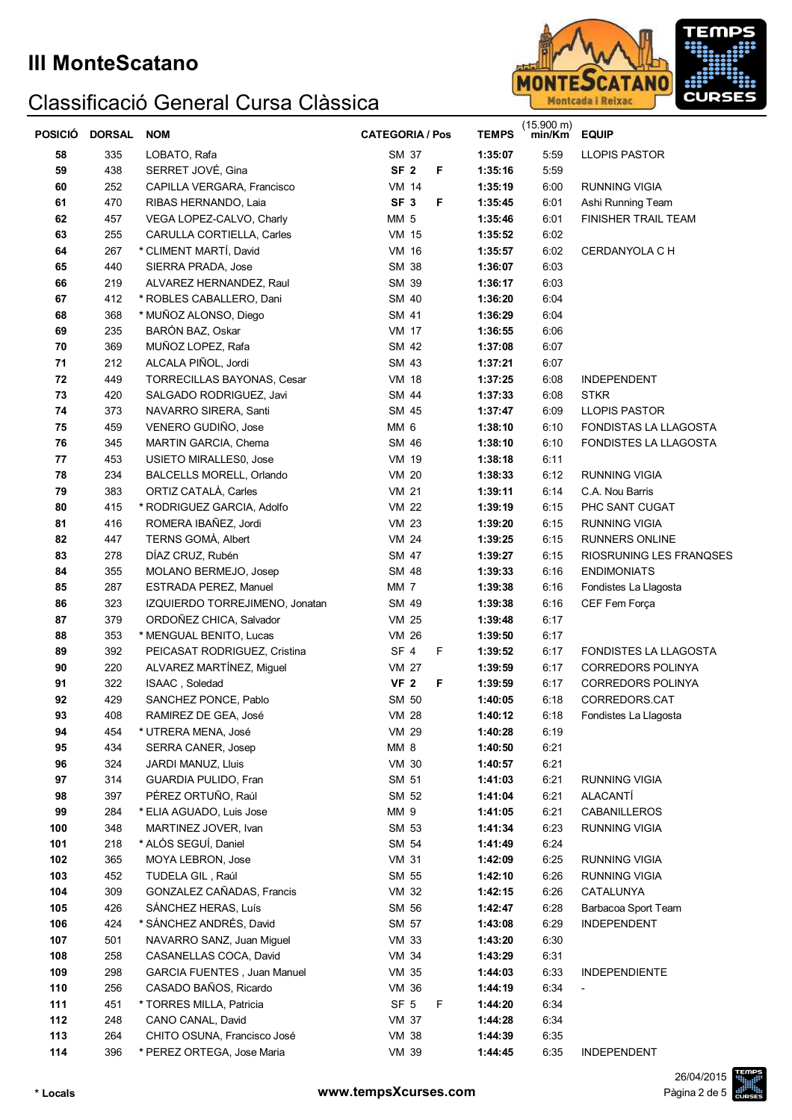

| POSICIÓ | <b>DORSAL</b> | <b>NOM</b>                     | <b>CATEGORIA / Pos</b> | <b>TEMPS</b> | $(15.900 \text{ m})$<br>min/Km | <b>EQUIP</b>                 |
|---------|---------------|--------------------------------|------------------------|--------------|--------------------------------|------------------------------|
| 58      | 335           | LOBATO, Rafa                   | SM 37                  | 1:35:07      | 5:59                           | <b>LLOPIS PASTOR</b>         |
| 59      | 438           | SERRET JOVÉ, Gina              | SF <sub>2</sub><br>F   | 1:35:16      | 5:59                           |                              |
| 60      | 252           | CAPILLA VERGARA, Francisco     | <b>VM 14</b>           | 1:35:19      | 6:00                           | <b>RUNNING VIGIA</b>         |
| 61      | 470           | RIBAS HERNANDO, Laia           | SF <sub>3</sub><br>F   | 1:35:45      | 6:01                           | Ashi Running Team            |
| 62      | 457           | VEGA LOPEZ-CALVO, Charly       | <b>MM 5</b>            | 1:35:46      | 6:01                           | <b>FINISHER TRAIL TEAM</b>   |
| 63      | 255           | CARULLA CORTIELLA, Carles      | <b>VM 15</b>           | 1:35:52      | 6:02                           |                              |
| 64      | 267           | * CLIMENT MARTÍ, David         | VM 16                  | 1:35:57      | 6:02                           | CERDANYOLA C H               |
| 65      | 440           | SIERRA PRADA, Jose             | SM 38                  | 1:36:07      | 6:03                           |                              |
| 66      | 219           | ALVAREZ HERNANDEZ, Raul        | SM 39                  | 1:36:17      | 6:03                           |                              |
| 67      | 412           | * ROBLES CABALLERO, Dani       | SM 40                  | 1:36:20      | 6:04                           |                              |
| 68      | 368           | * MUÑOZ ALONSO, Diego          | SM 41                  | 1:36:29      | 6:04                           |                              |
| 69      | 235           | BARÓN BAZ, Oskar               | <b>VM 17</b>           | 1:36:55      | 6:06                           |                              |
| 70      | 369           | MUÑOZ LOPEZ, Rafa              | SM 42                  | 1:37:08      | 6:07                           |                              |
| 71      | 212           | ALCALA PIÑOL, Jordi            | SM 43                  | 1:37:21      | 6:07                           |                              |
| 72      | 449           | TORRECILLAS BAYONAS, Cesar     | <b>VM 18</b>           | 1:37:25      | 6:08                           | <b>INDEPENDENT</b>           |
| 73      | 420           | SALGADO RODRIGUEZ, Javi        | SM 44                  | 1:37:33      | 6:08                           | <b>STKR</b>                  |
| 74      | 373           | NAVARRO SIRERA, Santi          | SM 45                  | 1:37:47      | 6:09                           | <b>LLOPIS PASTOR</b>         |
| 75      | 459           | VENERO GUDIÑO, Jose            | MM 6                   | 1:38:10      | 6:10                           | <b>FONDISTAS LA LLAGOSTA</b> |
| 76      | 345           | MARTIN GARCIA, Chema           | SM 46                  | 1:38:10      | 6:10                           | <b>FONDISTES LA LLAGOSTA</b> |
| 77      | 453           | <b>USIETO MIRALLES0, Jose</b>  | VM 19                  | 1:38:18      | 6:11                           |                              |
| 78      | 234           | BALCELLS MORELL, Orlando       | <b>VM 20</b>           | 1:38:33      | 6:12                           | <b>RUNNING VIGIA</b>         |
| 79      | 383           | ORTIZ CATALÀ, Carles           | <b>VM 21</b>           | 1:39:11      | 6:14                           | C.A. Nou Barris              |
| 80      | 415           | * RODRIGUEZ GARCIA, Adolfo     | <b>VM 22</b>           | 1:39:19      | 6:15                           | PHC SANT CUGAT               |
| 81      | 416           | ROMERA IBAÑEZ, Jordi           | <b>VM 23</b>           | 1:39:20      | 6:15                           | <b>RUNNING VIGIA</b>         |
| 82      | 447           | TERNS GOMÀ, Albert             | <b>VM 24</b>           | 1:39:25      | 6:15                           | RUNNERS ONLINE               |
| 83      | 278           | DÍAZ CRUZ, Rubén               | SM 47                  | 1:39:27      | 6:15                           | RIOSRUNING LES FRANQSES      |
| 84      | 355           | MOLANO BERMEJO, Josep          | SM 48                  | 1:39:33      | 6:16                           | <b>ENDIMONIATS</b>           |
| 85      | 287           | ESTRADA PEREZ, Manuel          | MM <sub>7</sub>        | 1:39:38      | 6:16                           | Fondistes La Llagosta        |
| 86      | 323           | IZQUIERDO TORREJIMENO, Jonatan | SM 49                  | 1:39:38      | 6:16                           | CEF Fem Força                |
| 87      | 379           | ORDOÑEZ CHICA, Salvador        | <b>VM 25</b>           | 1:39:48      | 6:17                           |                              |
| 88      | 353           | * MENGUAL BENITO, Lucas        | <b>VM 26</b>           | 1:39:50      | 6:17                           |                              |
| 89      | 392           | PEICASAT RODRIGUEZ, Cristina   | SF <sub>4</sub><br>F   | 1:39:52      | 6:17                           | FONDISTES LA LLAGOSTA        |
| 90      | 220           | ALVAREZ MARTÍNEZ, Miguel       | VM 27                  | 1:39:59      | 6:17                           | <b>CORREDORS POLINYA</b>     |
| 91      | 322           | ISAAC, Soledad                 | <b>VF 2</b><br>F       | 1:39:59      | 6:17                           | <b>CORREDORS POLINYA</b>     |
| 92      | 429           | SANCHEZ PONCE, Pablo           | SM 50                  | 1:40:05      | 6:18                           | CORREDORS.CAT                |
| 93      | 408           | RAMIREZ DE GEA, José           | <b>VM 28</b>           | 1:40:12      | 6:18                           | Fondistes La Llagosta        |
| 94      | 454           | * UTRERA MENA, José            | VM 29                  | 1:40:28      | 6:19                           |                              |
| 95      | 434           | SERRA CANER, Josep             | MM 8                   | 1:40:50      | 6:21                           |                              |
| 96      | 324           | JARDI MANUZ, Lluis             | <b>VM 30</b>           | 1:40:57      | 6:21                           |                              |
| 97      | 314           | GUARDIA PULIDO, Fran           | SM 51                  | 1:41:03      | 6:21                           | RUNNING VIGIA                |
| 98      | 397           | PÉREZ ORTUÑO, Raúl             | SM 52                  | 1:41:04      | 6:21                           | ALACANTÍ                     |
| 99      | 284           | * ELIA AGUADO, Luis Jose       | MM 9                   | 1:41:05      | 6:21                           | CABANILLEROS                 |
| 100     | 348           | MARTINEZ JOVER, Ivan           | SM 53                  | 1:41:34      | 6:23                           | <b>RUNNING VIGIA</b>         |
| 101     | 218           | * ALÓS SEGUÍ, Daniel           | SM 54                  | 1:41:49      | 6:24                           |                              |
| 102     | 365           | MOYA LEBRON, Jose              | <b>VM 31</b>           | 1:42:09      | 6:25                           | RUNNING VIGIA                |
| 103     | 452           | TUDELA GIL, Raúl               | SM 55                  | 1:42:10      | 6:26                           | <b>RUNNING VIGIA</b>         |
| 104     | 309           | GONZALEZ CAÑADAS, Francis      | VM 32                  | 1:42:15      | 6:26                           | CATALUNYA                    |
| 105     | 426           | SÁNCHEZ HERAS, Luís            | SM 56                  | 1:42:47      | 6:28                           | Barbacoa Sport Team          |
| 106     | 424           | * SÁNCHEZ ANDRÉS, David        | SM 57                  | 1:43:08      | 6:29                           | <b>INDEPENDENT</b>           |
| 107     | 501           | NAVARRO SANZ, Juan Miguel      | <b>VM 33</b>           | 1:43:20      | 6:30                           |                              |
| 108     | 258           | CASANELLAS COCA, David         | VM 34                  | 1:43:29      | 6:31                           |                              |
| 109     | 298           | GARCIA FUENTES, Juan Manuel    | VM 35                  | 1:44:03      | 6:33                           | <b>INDEPENDIENTE</b>         |
| 110     | 256           | CASADO BAÑOS, Ricardo          | VM 36                  | 1:44:19      | 6:34                           |                              |
| 111     | 451           | * TORRES MILLA, Patricia       | SF <sub>5</sub><br>F   | 1:44:20      | 6:34                           |                              |
| 112     | 248           | CANO CANAL, David              | <b>VM 37</b>           | 1:44:28      | 6:34                           |                              |
| 113     | 264           | CHITO OSUNA, Francisco José    | <b>VM 38</b>           | 1:44:39      | 6:35                           |                              |
| 114     | 396           | * PEREZ ORTEGA, Jose Maria     | VM 39                  | 1:44:45      | 6:35                           | INDEPENDENT                  |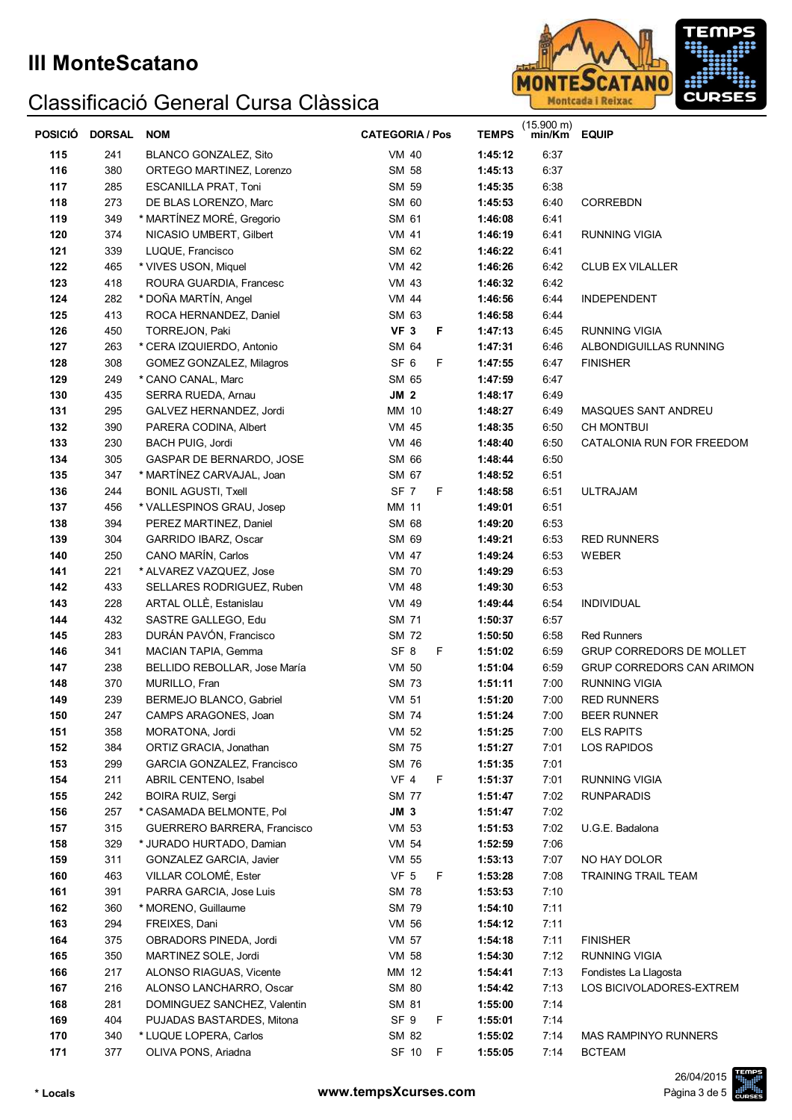

| 115<br>241<br>BLANCO GONZALEZ, Sito<br>VM 40<br>1:45:12<br>6:37<br>116<br>380<br>ORTEGO MARTINEZ, Lorenzo<br>SM 58<br>1:45:13<br>6:37<br>SM 59<br>117<br>285<br><b>ESCANILLA PRAT, Toni</b><br>1:45:35<br>6:38<br>SM 60<br>118<br>273<br>DE BLAS LORENZO, Marc<br>6:40<br><b>CORREBDN</b><br>1:45:53<br>* MARTÍNEZ MORÉ, Gregorio<br>119<br>SM 61<br>349<br>1:46:08<br>6:41<br>374<br>NICASIO UMBERT, Gilbert<br><b>VM 41</b><br>120<br>1:46:19<br>6:41<br><b>RUNNING VIGIA</b><br>121<br>339<br>SM 62<br>LUQUE, Francisco<br>1:46:22<br>6:41<br>122<br><b>VM 42</b><br>465<br>* VIVES USON, Miquel<br>1:46:26<br>6:42<br><b>CLUB EX VILALLER</b><br>123<br>418<br>ROURA GUARDIA, Francesc<br><b>VM 43</b><br>1:46:32<br>6:42<br>* DOÑA MARTÍN, Angel<br>124<br>282<br><b>VM 44</b><br>1:46:56<br>6:44<br><b>INDEPENDENT</b><br>125<br>413<br>SM 63<br>ROCA HERNANDEZ, Daniel<br>1:46:58<br>6:44<br>VF <sub>3</sub><br>F<br>126<br>450<br>TORREJON, Paki<br>1:47:13<br>6:45<br><b>RUNNING VIGIA</b><br>127<br>SM 64<br>263<br>* CERA IZQUIERDO, Antonio<br>1:47:31<br>6:46<br>ALBONDIGUILLAS RUNNING<br>SF <sub>6</sub><br>F<br>128<br>308<br>GOMEZ GONZALEZ, Milagros<br>1:47:55<br>6:47<br><b>FINISHER</b><br>129<br>SM 65<br>6:47<br>249<br>* CANO CANAL, Marc<br>1:47:59<br>JM <sub>2</sub><br>130<br>435<br>1:48:17<br>6:49<br><b>SERRA RUEDA, Arnau</b><br>131<br>295<br>MM 10<br>GALVEZ HERNANDEZ, Jordi<br>1:48:27<br>6:49<br>MASQUES SANT ANDREU<br>132<br>390<br>VM 45<br>PARERA CODINA, Albert<br>1:48:35<br>6:50<br><b>CH MONTBUI</b><br>133<br>230<br>VM 46<br>6:50<br><b>BACH PUIG, Jordi</b><br>1:48:40<br>CATALONIA RUN FOR FREEDOM<br>134<br>SM 66<br>6:50<br>305<br>GASPAR DE BERNARDO, JOSE<br>1:48:44<br>135<br>* MARTÍNEZ CARVAJAL, Joan<br>SM 67<br>347<br>1:48:52<br>6:51<br>136<br>244<br>SF 7<br>F<br><b>BONIL AGUSTI, Txell</b><br>1:48:58<br>6:51<br><b>ULTRAJAM</b><br>137<br>MM 11<br>6:51<br>456<br>* VALLESPINOS GRAU, Josep<br>1:49:01<br>138<br>SM 68<br>394<br>PEREZ MARTINEZ, Daniel<br>1:49:20<br>6:53<br>139<br>SM 69<br>304<br>GARRIDO IBARZ, Oscar<br>1:49:21<br>6:53<br><b>RED RUNNERS</b><br>140<br>CANO MARÍN, Carlos<br><b>VM 47</b><br>6:53<br>250<br>1:49:24<br>WEBER<br>141<br><b>SM 70</b><br>6:53<br>221<br>* ALVAREZ VAZQUEZ, Jose<br>1:49:29<br>142<br>SELLARES RODRIGUEZ, Ruben<br><b>VM 48</b><br>6:53<br>433<br>1:49:30<br>143<br>ARTAL OLLÈ, Estanislau<br>VM 49<br>6:54<br>228<br>1:49:44<br><b>INDIVIDUAL</b><br>144<br>SASTRE GALLEGO, Edu<br>SM 71<br>432<br>1:50:37<br>6:57<br>145<br>DURÁN PAVÓN, Francisco<br>SM 72<br>283<br>1:50:50<br>6:58<br><b>Red Runners</b><br>SF <sub>8</sub><br>F<br>146<br>341<br>MACIAN TAPIA, Gemma<br>1:51:02<br>6:59<br>GRUP CORREDORS DE MOLLET<br>147<br>238<br>BELLIDO REBOLLAR, Jose María<br><b>VM 50</b><br>1:51:04<br>6:59<br><b>GRUP CORREDORS CAN ARIMON</b><br>148<br>370<br>SM 73<br>MURILLO, Fran<br>1:51:11<br>7:00<br><b>RUNNING VIGIA</b><br>149<br>BERMEJO BLANCO, Gabriel<br><b>VM 51</b><br>239<br>1:51:20<br>7:00<br><b>RED RUNNERS</b><br><b>SM 74</b><br>1:51:24<br>7:00<br>247<br>CAMPS ARAGONES, Joan<br><b>BEER RUNNER</b><br>150<br>151<br>358<br>VM 52<br>1:51:25<br><b>ELS RAPITS</b><br>MORATONA, Jordi<br>7:00<br>384<br>SM 75<br>152<br>ORTIZ GRACIA, Jonathan<br>1:51:27<br>7:01<br><b>LOS RAPIDOS</b><br>SM 76<br>153<br>299<br>GARCIA GONZALEZ, Francisco<br>1:51:35<br>7:01<br><b>VF 4</b><br>F<br>154<br>211<br>1:51:37<br>7:01<br><b>RUNNING VIGIA</b><br>ABRIL CENTENO, Isabel<br>242<br>155<br><b>SM 77</b><br>7:02<br><b>RUNPARADIS</b><br><b>BOIRA RUIZ, Sergi</b><br>1:51:47<br>JM 3<br>156<br>257<br>* CASAMADA BELMONTE, Pol<br>7:02<br>1:51:47<br>VM 53<br>7:02<br>157<br>315<br>U.G.E. Badalona<br>GUERRERO BARRERA, Francisco<br>1:51:53<br>329<br>158<br>VM 54<br>1:52:59<br>7:06<br>* JURADO HURTADO, Damian<br>159<br>311<br>VM 55<br>1:53:13<br>7:07<br>NO HAY DOLOR<br>GONZALEZ GARCIA, Javier<br>VF <sub>5</sub><br>160<br>463<br>VILLAR COLOMÉ, Ester<br>F<br>1:53:28<br>7:08<br><b>TRAINING TRAIL TEAM</b><br><b>SM 78</b><br>7:10<br>161<br>391<br>PARRA GARCIA, Jose Luis<br>1:53:53<br>SM 79<br>7:11<br>162<br>360<br>* MORENO, Guillaume<br>1:54:10<br>163<br>294<br>FREIXES, Dani<br>VM 56<br>1:54:12<br>7:11<br>164<br>375<br>OBRADORS PINEDA, Jordi<br>VM 57<br>7:11<br><b>FINISHER</b><br>1:54:18<br>350<br>VM 58<br>7:12<br>165<br>MARTINEZ SOLE, Jordi<br>1:54:30<br>RUNNING VIGIA<br>217<br>7:13<br>166<br>ALONSO RIAGUAS, Vicente<br>MM 12<br>1:54:41<br>Fondistes La Llagosta<br>167<br>216<br>ALONSO LANCHARRO, Oscar<br>SM 80<br>7:13<br>LOS BICIVOLADORES-EXTREM<br>1:54:42<br>168<br>281<br>DOMINGUEZ SANCHEZ, Valentin<br>SM 81<br>1:55:00<br>7:14<br>SF <sub>9</sub><br>169<br>404<br>F<br>1:55:01<br>7:14<br>PUJADAS BASTARDES, Mitona<br>170<br>340<br>* LUQUE LOPERA, Carlos<br>SM 82<br>1:55:02<br>7:14<br><b>MAS RAMPINYO RUNNERS</b><br>171<br>377<br>OLIVA PONS, Ariadna<br>SF 10<br>F<br>1:55:05<br>7:14<br><b>BCTEAM</b> | <b>POSICIO</b> | <b>DORSAL</b> | <b>NOM</b> | <b>CATEGORIA / Pos</b> | <b>TEMPS</b> | $(15.900 \text{ m})$<br>min/Km | <b>EQUIP</b> |
|--------------------------------------------------------------------------------------------------------------------------------------------------------------------------------------------------------------------------------------------------------------------------------------------------------------------------------------------------------------------------------------------------------------------------------------------------------------------------------------------------------------------------------------------------------------------------------------------------------------------------------------------------------------------------------------------------------------------------------------------------------------------------------------------------------------------------------------------------------------------------------------------------------------------------------------------------------------------------------------------------------------------------------------------------------------------------------------------------------------------------------------------------------------------------------------------------------------------------------------------------------------------------------------------------------------------------------------------------------------------------------------------------------------------------------------------------------------------------------------------------------------------------------------------------------------------------------------------------------------------------------------------------------------------------------------------------------------------------------------------------------------------------------------------------------------------------------------------------------------------------------------------------------------------------------------------------------------------------------------------------------------------------------------------------------------------------------------------------------------------------------------------------------------------------------------------------------------------------------------------------------------------------------------------------------------------------------------------------------------------------------------------------------------------------------------------------------------------------------------------------------------------------------------------------------------------------------------------------------------------------------------------------------------------------------------------------------------------------------------------------------------------------------------------------------------------------------------------------------------------------------------------------------------------------------------------------------------------------------------------------------------------------------------------------------------------------------------------------------------------------------------------------------------------------------------------------------------------------------------------------------------------------------------------------------------------------------------------------------------------------------------------------------------------------------------------------------------------------------------------------------------------------------------------------------------------------------------------------------------------------------------------------------------------------------------------------------------------------------------------------------------------------------------------------------------------------------------------------------------------------------------------------------------------------------------------------------------------------------------------------------------------------------------------------------------------------------------------------------------------------------------------------------------------------------------------------------------------------------------------------------------------------------------------------------------------------------------------------------------------------------------------------------------------------------------------------------------------------------------------------------------------------------------------------------------------------------------------------------------------------------------------------------------------------------------------------------------------------------------------------------------------------------------------------------------------------------------------------------------------------------------------------------------------------------------------------------------------------------------------------------|----------------|---------------|------------|------------------------|--------------|--------------------------------|--------------|
|                                                                                                                                                                                                                                                                                                                                                                                                                                                                                                                                                                                                                                                                                                                                                                                                                                                                                                                                                                                                                                                                                                                                                                                                                                                                                                                                                                                                                                                                                                                                                                                                                                                                                                                                                                                                                                                                                                                                                                                                                                                                                                                                                                                                                                                                                                                                                                                                                                                                                                                                                                                                                                                                                                                                                                                                                                                                                                                                                                                                                                                                                                                                                                                                                                                                                                                                                                                                                                                                                                                                                                                                                                                                                                                                                                                                                                                                                                                                                                                                                                                                                                                                                                                                                                                                                                                                                                                                                                                                                                                                                                                                                                                                                                                                                                                                                                                                                                                                                                                                        |                |               |            |                        |              |                                |              |
|                                                                                                                                                                                                                                                                                                                                                                                                                                                                                                                                                                                                                                                                                                                                                                                                                                                                                                                                                                                                                                                                                                                                                                                                                                                                                                                                                                                                                                                                                                                                                                                                                                                                                                                                                                                                                                                                                                                                                                                                                                                                                                                                                                                                                                                                                                                                                                                                                                                                                                                                                                                                                                                                                                                                                                                                                                                                                                                                                                                                                                                                                                                                                                                                                                                                                                                                                                                                                                                                                                                                                                                                                                                                                                                                                                                                                                                                                                                                                                                                                                                                                                                                                                                                                                                                                                                                                                                                                                                                                                                                                                                                                                                                                                                                                                                                                                                                                                                                                                                                        |                |               |            |                        |              |                                |              |
|                                                                                                                                                                                                                                                                                                                                                                                                                                                                                                                                                                                                                                                                                                                                                                                                                                                                                                                                                                                                                                                                                                                                                                                                                                                                                                                                                                                                                                                                                                                                                                                                                                                                                                                                                                                                                                                                                                                                                                                                                                                                                                                                                                                                                                                                                                                                                                                                                                                                                                                                                                                                                                                                                                                                                                                                                                                                                                                                                                                                                                                                                                                                                                                                                                                                                                                                                                                                                                                                                                                                                                                                                                                                                                                                                                                                                                                                                                                                                                                                                                                                                                                                                                                                                                                                                                                                                                                                                                                                                                                                                                                                                                                                                                                                                                                                                                                                                                                                                                                                        |                |               |            |                        |              |                                |              |
|                                                                                                                                                                                                                                                                                                                                                                                                                                                                                                                                                                                                                                                                                                                                                                                                                                                                                                                                                                                                                                                                                                                                                                                                                                                                                                                                                                                                                                                                                                                                                                                                                                                                                                                                                                                                                                                                                                                                                                                                                                                                                                                                                                                                                                                                                                                                                                                                                                                                                                                                                                                                                                                                                                                                                                                                                                                                                                                                                                                                                                                                                                                                                                                                                                                                                                                                                                                                                                                                                                                                                                                                                                                                                                                                                                                                                                                                                                                                                                                                                                                                                                                                                                                                                                                                                                                                                                                                                                                                                                                                                                                                                                                                                                                                                                                                                                                                                                                                                                                                        |                |               |            |                        |              |                                |              |
|                                                                                                                                                                                                                                                                                                                                                                                                                                                                                                                                                                                                                                                                                                                                                                                                                                                                                                                                                                                                                                                                                                                                                                                                                                                                                                                                                                                                                                                                                                                                                                                                                                                                                                                                                                                                                                                                                                                                                                                                                                                                                                                                                                                                                                                                                                                                                                                                                                                                                                                                                                                                                                                                                                                                                                                                                                                                                                                                                                                                                                                                                                                                                                                                                                                                                                                                                                                                                                                                                                                                                                                                                                                                                                                                                                                                                                                                                                                                                                                                                                                                                                                                                                                                                                                                                                                                                                                                                                                                                                                                                                                                                                                                                                                                                                                                                                                                                                                                                                                                        |                |               |            |                        |              |                                |              |
|                                                                                                                                                                                                                                                                                                                                                                                                                                                                                                                                                                                                                                                                                                                                                                                                                                                                                                                                                                                                                                                                                                                                                                                                                                                                                                                                                                                                                                                                                                                                                                                                                                                                                                                                                                                                                                                                                                                                                                                                                                                                                                                                                                                                                                                                                                                                                                                                                                                                                                                                                                                                                                                                                                                                                                                                                                                                                                                                                                                                                                                                                                                                                                                                                                                                                                                                                                                                                                                                                                                                                                                                                                                                                                                                                                                                                                                                                                                                                                                                                                                                                                                                                                                                                                                                                                                                                                                                                                                                                                                                                                                                                                                                                                                                                                                                                                                                                                                                                                                                        |                |               |            |                        |              |                                |              |
|                                                                                                                                                                                                                                                                                                                                                                                                                                                                                                                                                                                                                                                                                                                                                                                                                                                                                                                                                                                                                                                                                                                                                                                                                                                                                                                                                                                                                                                                                                                                                                                                                                                                                                                                                                                                                                                                                                                                                                                                                                                                                                                                                                                                                                                                                                                                                                                                                                                                                                                                                                                                                                                                                                                                                                                                                                                                                                                                                                                                                                                                                                                                                                                                                                                                                                                                                                                                                                                                                                                                                                                                                                                                                                                                                                                                                                                                                                                                                                                                                                                                                                                                                                                                                                                                                                                                                                                                                                                                                                                                                                                                                                                                                                                                                                                                                                                                                                                                                                                                        |                |               |            |                        |              |                                |              |
|                                                                                                                                                                                                                                                                                                                                                                                                                                                                                                                                                                                                                                                                                                                                                                                                                                                                                                                                                                                                                                                                                                                                                                                                                                                                                                                                                                                                                                                                                                                                                                                                                                                                                                                                                                                                                                                                                                                                                                                                                                                                                                                                                                                                                                                                                                                                                                                                                                                                                                                                                                                                                                                                                                                                                                                                                                                                                                                                                                                                                                                                                                                                                                                                                                                                                                                                                                                                                                                                                                                                                                                                                                                                                                                                                                                                                                                                                                                                                                                                                                                                                                                                                                                                                                                                                                                                                                                                                                                                                                                                                                                                                                                                                                                                                                                                                                                                                                                                                                                                        |                |               |            |                        |              |                                |              |
|                                                                                                                                                                                                                                                                                                                                                                                                                                                                                                                                                                                                                                                                                                                                                                                                                                                                                                                                                                                                                                                                                                                                                                                                                                                                                                                                                                                                                                                                                                                                                                                                                                                                                                                                                                                                                                                                                                                                                                                                                                                                                                                                                                                                                                                                                                                                                                                                                                                                                                                                                                                                                                                                                                                                                                                                                                                                                                                                                                                                                                                                                                                                                                                                                                                                                                                                                                                                                                                                                                                                                                                                                                                                                                                                                                                                                                                                                                                                                                                                                                                                                                                                                                                                                                                                                                                                                                                                                                                                                                                                                                                                                                                                                                                                                                                                                                                                                                                                                                                                        |                |               |            |                        |              |                                |              |
|                                                                                                                                                                                                                                                                                                                                                                                                                                                                                                                                                                                                                                                                                                                                                                                                                                                                                                                                                                                                                                                                                                                                                                                                                                                                                                                                                                                                                                                                                                                                                                                                                                                                                                                                                                                                                                                                                                                                                                                                                                                                                                                                                                                                                                                                                                                                                                                                                                                                                                                                                                                                                                                                                                                                                                                                                                                                                                                                                                                                                                                                                                                                                                                                                                                                                                                                                                                                                                                                                                                                                                                                                                                                                                                                                                                                                                                                                                                                                                                                                                                                                                                                                                                                                                                                                                                                                                                                                                                                                                                                                                                                                                                                                                                                                                                                                                                                                                                                                                                                        |                |               |            |                        |              |                                |              |
|                                                                                                                                                                                                                                                                                                                                                                                                                                                                                                                                                                                                                                                                                                                                                                                                                                                                                                                                                                                                                                                                                                                                                                                                                                                                                                                                                                                                                                                                                                                                                                                                                                                                                                                                                                                                                                                                                                                                                                                                                                                                                                                                                                                                                                                                                                                                                                                                                                                                                                                                                                                                                                                                                                                                                                                                                                                                                                                                                                                                                                                                                                                                                                                                                                                                                                                                                                                                                                                                                                                                                                                                                                                                                                                                                                                                                                                                                                                                                                                                                                                                                                                                                                                                                                                                                                                                                                                                                                                                                                                                                                                                                                                                                                                                                                                                                                                                                                                                                                                                        |                |               |            |                        |              |                                |              |
|                                                                                                                                                                                                                                                                                                                                                                                                                                                                                                                                                                                                                                                                                                                                                                                                                                                                                                                                                                                                                                                                                                                                                                                                                                                                                                                                                                                                                                                                                                                                                                                                                                                                                                                                                                                                                                                                                                                                                                                                                                                                                                                                                                                                                                                                                                                                                                                                                                                                                                                                                                                                                                                                                                                                                                                                                                                                                                                                                                                                                                                                                                                                                                                                                                                                                                                                                                                                                                                                                                                                                                                                                                                                                                                                                                                                                                                                                                                                                                                                                                                                                                                                                                                                                                                                                                                                                                                                                                                                                                                                                                                                                                                                                                                                                                                                                                                                                                                                                                                                        |                |               |            |                        |              |                                |              |
|                                                                                                                                                                                                                                                                                                                                                                                                                                                                                                                                                                                                                                                                                                                                                                                                                                                                                                                                                                                                                                                                                                                                                                                                                                                                                                                                                                                                                                                                                                                                                                                                                                                                                                                                                                                                                                                                                                                                                                                                                                                                                                                                                                                                                                                                                                                                                                                                                                                                                                                                                                                                                                                                                                                                                                                                                                                                                                                                                                                                                                                                                                                                                                                                                                                                                                                                                                                                                                                                                                                                                                                                                                                                                                                                                                                                                                                                                                                                                                                                                                                                                                                                                                                                                                                                                                                                                                                                                                                                                                                                                                                                                                                                                                                                                                                                                                                                                                                                                                                                        |                |               |            |                        |              |                                |              |
|                                                                                                                                                                                                                                                                                                                                                                                                                                                                                                                                                                                                                                                                                                                                                                                                                                                                                                                                                                                                                                                                                                                                                                                                                                                                                                                                                                                                                                                                                                                                                                                                                                                                                                                                                                                                                                                                                                                                                                                                                                                                                                                                                                                                                                                                                                                                                                                                                                                                                                                                                                                                                                                                                                                                                                                                                                                                                                                                                                                                                                                                                                                                                                                                                                                                                                                                                                                                                                                                                                                                                                                                                                                                                                                                                                                                                                                                                                                                                                                                                                                                                                                                                                                                                                                                                                                                                                                                                                                                                                                                                                                                                                                                                                                                                                                                                                                                                                                                                                                                        |                |               |            |                        |              |                                |              |
|                                                                                                                                                                                                                                                                                                                                                                                                                                                                                                                                                                                                                                                                                                                                                                                                                                                                                                                                                                                                                                                                                                                                                                                                                                                                                                                                                                                                                                                                                                                                                                                                                                                                                                                                                                                                                                                                                                                                                                                                                                                                                                                                                                                                                                                                                                                                                                                                                                                                                                                                                                                                                                                                                                                                                                                                                                                                                                                                                                                                                                                                                                                                                                                                                                                                                                                                                                                                                                                                                                                                                                                                                                                                                                                                                                                                                                                                                                                                                                                                                                                                                                                                                                                                                                                                                                                                                                                                                                                                                                                                                                                                                                                                                                                                                                                                                                                                                                                                                                                                        |                |               |            |                        |              |                                |              |
|                                                                                                                                                                                                                                                                                                                                                                                                                                                                                                                                                                                                                                                                                                                                                                                                                                                                                                                                                                                                                                                                                                                                                                                                                                                                                                                                                                                                                                                                                                                                                                                                                                                                                                                                                                                                                                                                                                                                                                                                                                                                                                                                                                                                                                                                                                                                                                                                                                                                                                                                                                                                                                                                                                                                                                                                                                                                                                                                                                                                                                                                                                                                                                                                                                                                                                                                                                                                                                                                                                                                                                                                                                                                                                                                                                                                                                                                                                                                                                                                                                                                                                                                                                                                                                                                                                                                                                                                                                                                                                                                                                                                                                                                                                                                                                                                                                                                                                                                                                                                        |                |               |            |                        |              |                                |              |
|                                                                                                                                                                                                                                                                                                                                                                                                                                                                                                                                                                                                                                                                                                                                                                                                                                                                                                                                                                                                                                                                                                                                                                                                                                                                                                                                                                                                                                                                                                                                                                                                                                                                                                                                                                                                                                                                                                                                                                                                                                                                                                                                                                                                                                                                                                                                                                                                                                                                                                                                                                                                                                                                                                                                                                                                                                                                                                                                                                                                                                                                                                                                                                                                                                                                                                                                                                                                                                                                                                                                                                                                                                                                                                                                                                                                                                                                                                                                                                                                                                                                                                                                                                                                                                                                                                                                                                                                                                                                                                                                                                                                                                                                                                                                                                                                                                                                                                                                                                                                        |                |               |            |                        |              |                                |              |
|                                                                                                                                                                                                                                                                                                                                                                                                                                                                                                                                                                                                                                                                                                                                                                                                                                                                                                                                                                                                                                                                                                                                                                                                                                                                                                                                                                                                                                                                                                                                                                                                                                                                                                                                                                                                                                                                                                                                                                                                                                                                                                                                                                                                                                                                                                                                                                                                                                                                                                                                                                                                                                                                                                                                                                                                                                                                                                                                                                                                                                                                                                                                                                                                                                                                                                                                                                                                                                                                                                                                                                                                                                                                                                                                                                                                                                                                                                                                                                                                                                                                                                                                                                                                                                                                                                                                                                                                                                                                                                                                                                                                                                                                                                                                                                                                                                                                                                                                                                                                        |                |               |            |                        |              |                                |              |
|                                                                                                                                                                                                                                                                                                                                                                                                                                                                                                                                                                                                                                                                                                                                                                                                                                                                                                                                                                                                                                                                                                                                                                                                                                                                                                                                                                                                                                                                                                                                                                                                                                                                                                                                                                                                                                                                                                                                                                                                                                                                                                                                                                                                                                                                                                                                                                                                                                                                                                                                                                                                                                                                                                                                                                                                                                                                                                                                                                                                                                                                                                                                                                                                                                                                                                                                                                                                                                                                                                                                                                                                                                                                                                                                                                                                                                                                                                                                                                                                                                                                                                                                                                                                                                                                                                                                                                                                                                                                                                                                                                                                                                                                                                                                                                                                                                                                                                                                                                                                        |                |               |            |                        |              |                                |              |
|                                                                                                                                                                                                                                                                                                                                                                                                                                                                                                                                                                                                                                                                                                                                                                                                                                                                                                                                                                                                                                                                                                                                                                                                                                                                                                                                                                                                                                                                                                                                                                                                                                                                                                                                                                                                                                                                                                                                                                                                                                                                                                                                                                                                                                                                                                                                                                                                                                                                                                                                                                                                                                                                                                                                                                                                                                                                                                                                                                                                                                                                                                                                                                                                                                                                                                                                                                                                                                                                                                                                                                                                                                                                                                                                                                                                                                                                                                                                                                                                                                                                                                                                                                                                                                                                                                                                                                                                                                                                                                                                                                                                                                                                                                                                                                                                                                                                                                                                                                                                        |                |               |            |                        |              |                                |              |
|                                                                                                                                                                                                                                                                                                                                                                                                                                                                                                                                                                                                                                                                                                                                                                                                                                                                                                                                                                                                                                                                                                                                                                                                                                                                                                                                                                                                                                                                                                                                                                                                                                                                                                                                                                                                                                                                                                                                                                                                                                                                                                                                                                                                                                                                                                                                                                                                                                                                                                                                                                                                                                                                                                                                                                                                                                                                                                                                                                                                                                                                                                                                                                                                                                                                                                                                                                                                                                                                                                                                                                                                                                                                                                                                                                                                                                                                                                                                                                                                                                                                                                                                                                                                                                                                                                                                                                                                                                                                                                                                                                                                                                                                                                                                                                                                                                                                                                                                                                                                        |                |               |            |                        |              |                                |              |
|                                                                                                                                                                                                                                                                                                                                                                                                                                                                                                                                                                                                                                                                                                                                                                                                                                                                                                                                                                                                                                                                                                                                                                                                                                                                                                                                                                                                                                                                                                                                                                                                                                                                                                                                                                                                                                                                                                                                                                                                                                                                                                                                                                                                                                                                                                                                                                                                                                                                                                                                                                                                                                                                                                                                                                                                                                                                                                                                                                                                                                                                                                                                                                                                                                                                                                                                                                                                                                                                                                                                                                                                                                                                                                                                                                                                                                                                                                                                                                                                                                                                                                                                                                                                                                                                                                                                                                                                                                                                                                                                                                                                                                                                                                                                                                                                                                                                                                                                                                                                        |                |               |            |                        |              |                                |              |
|                                                                                                                                                                                                                                                                                                                                                                                                                                                                                                                                                                                                                                                                                                                                                                                                                                                                                                                                                                                                                                                                                                                                                                                                                                                                                                                                                                                                                                                                                                                                                                                                                                                                                                                                                                                                                                                                                                                                                                                                                                                                                                                                                                                                                                                                                                                                                                                                                                                                                                                                                                                                                                                                                                                                                                                                                                                                                                                                                                                                                                                                                                                                                                                                                                                                                                                                                                                                                                                                                                                                                                                                                                                                                                                                                                                                                                                                                                                                                                                                                                                                                                                                                                                                                                                                                                                                                                                                                                                                                                                                                                                                                                                                                                                                                                                                                                                                                                                                                                                                        |                |               |            |                        |              |                                |              |
|                                                                                                                                                                                                                                                                                                                                                                                                                                                                                                                                                                                                                                                                                                                                                                                                                                                                                                                                                                                                                                                                                                                                                                                                                                                                                                                                                                                                                                                                                                                                                                                                                                                                                                                                                                                                                                                                                                                                                                                                                                                                                                                                                                                                                                                                                                                                                                                                                                                                                                                                                                                                                                                                                                                                                                                                                                                                                                                                                                                                                                                                                                                                                                                                                                                                                                                                                                                                                                                                                                                                                                                                                                                                                                                                                                                                                                                                                                                                                                                                                                                                                                                                                                                                                                                                                                                                                                                                                                                                                                                                                                                                                                                                                                                                                                                                                                                                                                                                                                                                        |                |               |            |                        |              |                                |              |
|                                                                                                                                                                                                                                                                                                                                                                                                                                                                                                                                                                                                                                                                                                                                                                                                                                                                                                                                                                                                                                                                                                                                                                                                                                                                                                                                                                                                                                                                                                                                                                                                                                                                                                                                                                                                                                                                                                                                                                                                                                                                                                                                                                                                                                                                                                                                                                                                                                                                                                                                                                                                                                                                                                                                                                                                                                                                                                                                                                                                                                                                                                                                                                                                                                                                                                                                                                                                                                                                                                                                                                                                                                                                                                                                                                                                                                                                                                                                                                                                                                                                                                                                                                                                                                                                                                                                                                                                                                                                                                                                                                                                                                                                                                                                                                                                                                                                                                                                                                                                        |                |               |            |                        |              |                                |              |
|                                                                                                                                                                                                                                                                                                                                                                                                                                                                                                                                                                                                                                                                                                                                                                                                                                                                                                                                                                                                                                                                                                                                                                                                                                                                                                                                                                                                                                                                                                                                                                                                                                                                                                                                                                                                                                                                                                                                                                                                                                                                                                                                                                                                                                                                                                                                                                                                                                                                                                                                                                                                                                                                                                                                                                                                                                                                                                                                                                                                                                                                                                                                                                                                                                                                                                                                                                                                                                                                                                                                                                                                                                                                                                                                                                                                                                                                                                                                                                                                                                                                                                                                                                                                                                                                                                                                                                                                                                                                                                                                                                                                                                                                                                                                                                                                                                                                                                                                                                                                        |                |               |            |                        |              |                                |              |
|                                                                                                                                                                                                                                                                                                                                                                                                                                                                                                                                                                                                                                                                                                                                                                                                                                                                                                                                                                                                                                                                                                                                                                                                                                                                                                                                                                                                                                                                                                                                                                                                                                                                                                                                                                                                                                                                                                                                                                                                                                                                                                                                                                                                                                                                                                                                                                                                                                                                                                                                                                                                                                                                                                                                                                                                                                                                                                                                                                                                                                                                                                                                                                                                                                                                                                                                                                                                                                                                                                                                                                                                                                                                                                                                                                                                                                                                                                                                                                                                                                                                                                                                                                                                                                                                                                                                                                                                                                                                                                                                                                                                                                                                                                                                                                                                                                                                                                                                                                                                        |                |               |            |                        |              |                                |              |
|                                                                                                                                                                                                                                                                                                                                                                                                                                                                                                                                                                                                                                                                                                                                                                                                                                                                                                                                                                                                                                                                                                                                                                                                                                                                                                                                                                                                                                                                                                                                                                                                                                                                                                                                                                                                                                                                                                                                                                                                                                                                                                                                                                                                                                                                                                                                                                                                                                                                                                                                                                                                                                                                                                                                                                                                                                                                                                                                                                                                                                                                                                                                                                                                                                                                                                                                                                                                                                                                                                                                                                                                                                                                                                                                                                                                                                                                                                                                                                                                                                                                                                                                                                                                                                                                                                                                                                                                                                                                                                                                                                                                                                                                                                                                                                                                                                                                                                                                                                                                        |                |               |            |                        |              |                                |              |
|                                                                                                                                                                                                                                                                                                                                                                                                                                                                                                                                                                                                                                                                                                                                                                                                                                                                                                                                                                                                                                                                                                                                                                                                                                                                                                                                                                                                                                                                                                                                                                                                                                                                                                                                                                                                                                                                                                                                                                                                                                                                                                                                                                                                                                                                                                                                                                                                                                                                                                                                                                                                                                                                                                                                                                                                                                                                                                                                                                                                                                                                                                                                                                                                                                                                                                                                                                                                                                                                                                                                                                                                                                                                                                                                                                                                                                                                                                                                                                                                                                                                                                                                                                                                                                                                                                                                                                                                                                                                                                                                                                                                                                                                                                                                                                                                                                                                                                                                                                                                        |                |               |            |                        |              |                                |              |
|                                                                                                                                                                                                                                                                                                                                                                                                                                                                                                                                                                                                                                                                                                                                                                                                                                                                                                                                                                                                                                                                                                                                                                                                                                                                                                                                                                                                                                                                                                                                                                                                                                                                                                                                                                                                                                                                                                                                                                                                                                                                                                                                                                                                                                                                                                                                                                                                                                                                                                                                                                                                                                                                                                                                                                                                                                                                                                                                                                                                                                                                                                                                                                                                                                                                                                                                                                                                                                                                                                                                                                                                                                                                                                                                                                                                                                                                                                                                                                                                                                                                                                                                                                                                                                                                                                                                                                                                                                                                                                                                                                                                                                                                                                                                                                                                                                                                                                                                                                                                        |                |               |            |                        |              |                                |              |
|                                                                                                                                                                                                                                                                                                                                                                                                                                                                                                                                                                                                                                                                                                                                                                                                                                                                                                                                                                                                                                                                                                                                                                                                                                                                                                                                                                                                                                                                                                                                                                                                                                                                                                                                                                                                                                                                                                                                                                                                                                                                                                                                                                                                                                                                                                                                                                                                                                                                                                                                                                                                                                                                                                                                                                                                                                                                                                                                                                                                                                                                                                                                                                                                                                                                                                                                                                                                                                                                                                                                                                                                                                                                                                                                                                                                                                                                                                                                                                                                                                                                                                                                                                                                                                                                                                                                                                                                                                                                                                                                                                                                                                                                                                                                                                                                                                                                                                                                                                                                        |                |               |            |                        |              |                                |              |
|                                                                                                                                                                                                                                                                                                                                                                                                                                                                                                                                                                                                                                                                                                                                                                                                                                                                                                                                                                                                                                                                                                                                                                                                                                                                                                                                                                                                                                                                                                                                                                                                                                                                                                                                                                                                                                                                                                                                                                                                                                                                                                                                                                                                                                                                                                                                                                                                                                                                                                                                                                                                                                                                                                                                                                                                                                                                                                                                                                                                                                                                                                                                                                                                                                                                                                                                                                                                                                                                                                                                                                                                                                                                                                                                                                                                                                                                                                                                                                                                                                                                                                                                                                                                                                                                                                                                                                                                                                                                                                                                                                                                                                                                                                                                                                                                                                                                                                                                                                                                        |                |               |            |                        |              |                                |              |
|                                                                                                                                                                                                                                                                                                                                                                                                                                                                                                                                                                                                                                                                                                                                                                                                                                                                                                                                                                                                                                                                                                                                                                                                                                                                                                                                                                                                                                                                                                                                                                                                                                                                                                                                                                                                                                                                                                                                                                                                                                                                                                                                                                                                                                                                                                                                                                                                                                                                                                                                                                                                                                                                                                                                                                                                                                                                                                                                                                                                                                                                                                                                                                                                                                                                                                                                                                                                                                                                                                                                                                                                                                                                                                                                                                                                                                                                                                                                                                                                                                                                                                                                                                                                                                                                                                                                                                                                                                                                                                                                                                                                                                                                                                                                                                                                                                                                                                                                                                                                        |                |               |            |                        |              |                                |              |
|                                                                                                                                                                                                                                                                                                                                                                                                                                                                                                                                                                                                                                                                                                                                                                                                                                                                                                                                                                                                                                                                                                                                                                                                                                                                                                                                                                                                                                                                                                                                                                                                                                                                                                                                                                                                                                                                                                                                                                                                                                                                                                                                                                                                                                                                                                                                                                                                                                                                                                                                                                                                                                                                                                                                                                                                                                                                                                                                                                                                                                                                                                                                                                                                                                                                                                                                                                                                                                                                                                                                                                                                                                                                                                                                                                                                                                                                                                                                                                                                                                                                                                                                                                                                                                                                                                                                                                                                                                                                                                                                                                                                                                                                                                                                                                                                                                                                                                                                                                                                        |                |               |            |                        |              |                                |              |
|                                                                                                                                                                                                                                                                                                                                                                                                                                                                                                                                                                                                                                                                                                                                                                                                                                                                                                                                                                                                                                                                                                                                                                                                                                                                                                                                                                                                                                                                                                                                                                                                                                                                                                                                                                                                                                                                                                                                                                                                                                                                                                                                                                                                                                                                                                                                                                                                                                                                                                                                                                                                                                                                                                                                                                                                                                                                                                                                                                                                                                                                                                                                                                                                                                                                                                                                                                                                                                                                                                                                                                                                                                                                                                                                                                                                                                                                                                                                                                                                                                                                                                                                                                                                                                                                                                                                                                                                                                                                                                                                                                                                                                                                                                                                                                                                                                                                                                                                                                                                        |                |               |            |                        |              |                                |              |
|                                                                                                                                                                                                                                                                                                                                                                                                                                                                                                                                                                                                                                                                                                                                                                                                                                                                                                                                                                                                                                                                                                                                                                                                                                                                                                                                                                                                                                                                                                                                                                                                                                                                                                                                                                                                                                                                                                                                                                                                                                                                                                                                                                                                                                                                                                                                                                                                                                                                                                                                                                                                                                                                                                                                                                                                                                                                                                                                                                                                                                                                                                                                                                                                                                                                                                                                                                                                                                                                                                                                                                                                                                                                                                                                                                                                                                                                                                                                                                                                                                                                                                                                                                                                                                                                                                                                                                                                                                                                                                                                                                                                                                                                                                                                                                                                                                                                                                                                                                                                        |                |               |            |                        |              |                                |              |
|                                                                                                                                                                                                                                                                                                                                                                                                                                                                                                                                                                                                                                                                                                                                                                                                                                                                                                                                                                                                                                                                                                                                                                                                                                                                                                                                                                                                                                                                                                                                                                                                                                                                                                                                                                                                                                                                                                                                                                                                                                                                                                                                                                                                                                                                                                                                                                                                                                                                                                                                                                                                                                                                                                                                                                                                                                                                                                                                                                                                                                                                                                                                                                                                                                                                                                                                                                                                                                                                                                                                                                                                                                                                                                                                                                                                                                                                                                                                                                                                                                                                                                                                                                                                                                                                                                                                                                                                                                                                                                                                                                                                                                                                                                                                                                                                                                                                                                                                                                                                        |                |               |            |                        |              |                                |              |
|                                                                                                                                                                                                                                                                                                                                                                                                                                                                                                                                                                                                                                                                                                                                                                                                                                                                                                                                                                                                                                                                                                                                                                                                                                                                                                                                                                                                                                                                                                                                                                                                                                                                                                                                                                                                                                                                                                                                                                                                                                                                                                                                                                                                                                                                                                                                                                                                                                                                                                                                                                                                                                                                                                                                                                                                                                                                                                                                                                                                                                                                                                                                                                                                                                                                                                                                                                                                                                                                                                                                                                                                                                                                                                                                                                                                                                                                                                                                                                                                                                                                                                                                                                                                                                                                                                                                                                                                                                                                                                                                                                                                                                                                                                                                                                                                                                                                                                                                                                                                        |                |               |            |                        |              |                                |              |
|                                                                                                                                                                                                                                                                                                                                                                                                                                                                                                                                                                                                                                                                                                                                                                                                                                                                                                                                                                                                                                                                                                                                                                                                                                                                                                                                                                                                                                                                                                                                                                                                                                                                                                                                                                                                                                                                                                                                                                                                                                                                                                                                                                                                                                                                                                                                                                                                                                                                                                                                                                                                                                                                                                                                                                                                                                                                                                                                                                                                                                                                                                                                                                                                                                                                                                                                                                                                                                                                                                                                                                                                                                                                                                                                                                                                                                                                                                                                                                                                                                                                                                                                                                                                                                                                                                                                                                                                                                                                                                                                                                                                                                                                                                                                                                                                                                                                                                                                                                                                        |                |               |            |                        |              |                                |              |
|                                                                                                                                                                                                                                                                                                                                                                                                                                                                                                                                                                                                                                                                                                                                                                                                                                                                                                                                                                                                                                                                                                                                                                                                                                                                                                                                                                                                                                                                                                                                                                                                                                                                                                                                                                                                                                                                                                                                                                                                                                                                                                                                                                                                                                                                                                                                                                                                                                                                                                                                                                                                                                                                                                                                                                                                                                                                                                                                                                                                                                                                                                                                                                                                                                                                                                                                                                                                                                                                                                                                                                                                                                                                                                                                                                                                                                                                                                                                                                                                                                                                                                                                                                                                                                                                                                                                                                                                                                                                                                                                                                                                                                                                                                                                                                                                                                                                                                                                                                                                        |                |               |            |                        |              |                                |              |
|                                                                                                                                                                                                                                                                                                                                                                                                                                                                                                                                                                                                                                                                                                                                                                                                                                                                                                                                                                                                                                                                                                                                                                                                                                                                                                                                                                                                                                                                                                                                                                                                                                                                                                                                                                                                                                                                                                                                                                                                                                                                                                                                                                                                                                                                                                                                                                                                                                                                                                                                                                                                                                                                                                                                                                                                                                                                                                                                                                                                                                                                                                                                                                                                                                                                                                                                                                                                                                                                                                                                                                                                                                                                                                                                                                                                                                                                                                                                                                                                                                                                                                                                                                                                                                                                                                                                                                                                                                                                                                                                                                                                                                                                                                                                                                                                                                                                                                                                                                                                        |                |               |            |                        |              |                                |              |
|                                                                                                                                                                                                                                                                                                                                                                                                                                                                                                                                                                                                                                                                                                                                                                                                                                                                                                                                                                                                                                                                                                                                                                                                                                                                                                                                                                                                                                                                                                                                                                                                                                                                                                                                                                                                                                                                                                                                                                                                                                                                                                                                                                                                                                                                                                                                                                                                                                                                                                                                                                                                                                                                                                                                                                                                                                                                                                                                                                                                                                                                                                                                                                                                                                                                                                                                                                                                                                                                                                                                                                                                                                                                                                                                                                                                                                                                                                                                                                                                                                                                                                                                                                                                                                                                                                                                                                                                                                                                                                                                                                                                                                                                                                                                                                                                                                                                                                                                                                                                        |                |               |            |                        |              |                                |              |
|                                                                                                                                                                                                                                                                                                                                                                                                                                                                                                                                                                                                                                                                                                                                                                                                                                                                                                                                                                                                                                                                                                                                                                                                                                                                                                                                                                                                                                                                                                                                                                                                                                                                                                                                                                                                                                                                                                                                                                                                                                                                                                                                                                                                                                                                                                                                                                                                                                                                                                                                                                                                                                                                                                                                                                                                                                                                                                                                                                                                                                                                                                                                                                                                                                                                                                                                                                                                                                                                                                                                                                                                                                                                                                                                                                                                                                                                                                                                                                                                                                                                                                                                                                                                                                                                                                                                                                                                                                                                                                                                                                                                                                                                                                                                                                                                                                                                                                                                                                                                        |                |               |            |                        |              |                                |              |
|                                                                                                                                                                                                                                                                                                                                                                                                                                                                                                                                                                                                                                                                                                                                                                                                                                                                                                                                                                                                                                                                                                                                                                                                                                                                                                                                                                                                                                                                                                                                                                                                                                                                                                                                                                                                                                                                                                                                                                                                                                                                                                                                                                                                                                                                                                                                                                                                                                                                                                                                                                                                                                                                                                                                                                                                                                                                                                                                                                                                                                                                                                                                                                                                                                                                                                                                                                                                                                                                                                                                                                                                                                                                                                                                                                                                                                                                                                                                                                                                                                                                                                                                                                                                                                                                                                                                                                                                                                                                                                                                                                                                                                                                                                                                                                                                                                                                                                                                                                                                        |                |               |            |                        |              |                                |              |
|                                                                                                                                                                                                                                                                                                                                                                                                                                                                                                                                                                                                                                                                                                                                                                                                                                                                                                                                                                                                                                                                                                                                                                                                                                                                                                                                                                                                                                                                                                                                                                                                                                                                                                                                                                                                                                                                                                                                                                                                                                                                                                                                                                                                                                                                                                                                                                                                                                                                                                                                                                                                                                                                                                                                                                                                                                                                                                                                                                                                                                                                                                                                                                                                                                                                                                                                                                                                                                                                                                                                                                                                                                                                                                                                                                                                                                                                                                                                                                                                                                                                                                                                                                                                                                                                                                                                                                                                                                                                                                                                                                                                                                                                                                                                                                                                                                                                                                                                                                                                        |                |               |            |                        |              |                                |              |
|                                                                                                                                                                                                                                                                                                                                                                                                                                                                                                                                                                                                                                                                                                                                                                                                                                                                                                                                                                                                                                                                                                                                                                                                                                                                                                                                                                                                                                                                                                                                                                                                                                                                                                                                                                                                                                                                                                                                                                                                                                                                                                                                                                                                                                                                                                                                                                                                                                                                                                                                                                                                                                                                                                                                                                                                                                                                                                                                                                                                                                                                                                                                                                                                                                                                                                                                                                                                                                                                                                                                                                                                                                                                                                                                                                                                                                                                                                                                                                                                                                                                                                                                                                                                                                                                                                                                                                                                                                                                                                                                                                                                                                                                                                                                                                                                                                                                                                                                                                                                        |                |               |            |                        |              |                                |              |
|                                                                                                                                                                                                                                                                                                                                                                                                                                                                                                                                                                                                                                                                                                                                                                                                                                                                                                                                                                                                                                                                                                                                                                                                                                                                                                                                                                                                                                                                                                                                                                                                                                                                                                                                                                                                                                                                                                                                                                                                                                                                                                                                                                                                                                                                                                                                                                                                                                                                                                                                                                                                                                                                                                                                                                                                                                                                                                                                                                                                                                                                                                                                                                                                                                                                                                                                                                                                                                                                                                                                                                                                                                                                                                                                                                                                                                                                                                                                                                                                                                                                                                                                                                                                                                                                                                                                                                                                                                                                                                                                                                                                                                                                                                                                                                                                                                                                                                                                                                                                        |                |               |            |                        |              |                                |              |
|                                                                                                                                                                                                                                                                                                                                                                                                                                                                                                                                                                                                                                                                                                                                                                                                                                                                                                                                                                                                                                                                                                                                                                                                                                                                                                                                                                                                                                                                                                                                                                                                                                                                                                                                                                                                                                                                                                                                                                                                                                                                                                                                                                                                                                                                                                                                                                                                                                                                                                                                                                                                                                                                                                                                                                                                                                                                                                                                                                                                                                                                                                                                                                                                                                                                                                                                                                                                                                                                                                                                                                                                                                                                                                                                                                                                                                                                                                                                                                                                                                                                                                                                                                                                                                                                                                                                                                                                                                                                                                                                                                                                                                                                                                                                                                                                                                                                                                                                                                                                        |                |               |            |                        |              |                                |              |
|                                                                                                                                                                                                                                                                                                                                                                                                                                                                                                                                                                                                                                                                                                                                                                                                                                                                                                                                                                                                                                                                                                                                                                                                                                                                                                                                                                                                                                                                                                                                                                                                                                                                                                                                                                                                                                                                                                                                                                                                                                                                                                                                                                                                                                                                                                                                                                                                                                                                                                                                                                                                                                                                                                                                                                                                                                                                                                                                                                                                                                                                                                                                                                                                                                                                                                                                                                                                                                                                                                                                                                                                                                                                                                                                                                                                                                                                                                                                                                                                                                                                                                                                                                                                                                                                                                                                                                                                                                                                                                                                                                                                                                                                                                                                                                                                                                                                                                                                                                                                        |                |               |            |                        |              |                                |              |
|                                                                                                                                                                                                                                                                                                                                                                                                                                                                                                                                                                                                                                                                                                                                                                                                                                                                                                                                                                                                                                                                                                                                                                                                                                                                                                                                                                                                                                                                                                                                                                                                                                                                                                                                                                                                                                                                                                                                                                                                                                                                                                                                                                                                                                                                                                                                                                                                                                                                                                                                                                                                                                                                                                                                                                                                                                                                                                                                                                                                                                                                                                                                                                                                                                                                                                                                                                                                                                                                                                                                                                                                                                                                                                                                                                                                                                                                                                                                                                                                                                                                                                                                                                                                                                                                                                                                                                                                                                                                                                                                                                                                                                                                                                                                                                                                                                                                                                                                                                                                        |                |               |            |                        |              |                                |              |
|                                                                                                                                                                                                                                                                                                                                                                                                                                                                                                                                                                                                                                                                                                                                                                                                                                                                                                                                                                                                                                                                                                                                                                                                                                                                                                                                                                                                                                                                                                                                                                                                                                                                                                                                                                                                                                                                                                                                                                                                                                                                                                                                                                                                                                                                                                                                                                                                                                                                                                                                                                                                                                                                                                                                                                                                                                                                                                                                                                                                                                                                                                                                                                                                                                                                                                                                                                                                                                                                                                                                                                                                                                                                                                                                                                                                                                                                                                                                                                                                                                                                                                                                                                                                                                                                                                                                                                                                                                                                                                                                                                                                                                                                                                                                                                                                                                                                                                                                                                                                        |                |               |            |                        |              |                                |              |
|                                                                                                                                                                                                                                                                                                                                                                                                                                                                                                                                                                                                                                                                                                                                                                                                                                                                                                                                                                                                                                                                                                                                                                                                                                                                                                                                                                                                                                                                                                                                                                                                                                                                                                                                                                                                                                                                                                                                                                                                                                                                                                                                                                                                                                                                                                                                                                                                                                                                                                                                                                                                                                                                                                                                                                                                                                                                                                                                                                                                                                                                                                                                                                                                                                                                                                                                                                                                                                                                                                                                                                                                                                                                                                                                                                                                                                                                                                                                                                                                                                                                                                                                                                                                                                                                                                                                                                                                                                                                                                                                                                                                                                                                                                                                                                                                                                                                                                                                                                                                        |                |               |            |                        |              |                                |              |
|                                                                                                                                                                                                                                                                                                                                                                                                                                                                                                                                                                                                                                                                                                                                                                                                                                                                                                                                                                                                                                                                                                                                                                                                                                                                                                                                                                                                                                                                                                                                                                                                                                                                                                                                                                                                                                                                                                                                                                                                                                                                                                                                                                                                                                                                                                                                                                                                                                                                                                                                                                                                                                                                                                                                                                                                                                                                                                                                                                                                                                                                                                                                                                                                                                                                                                                                                                                                                                                                                                                                                                                                                                                                                                                                                                                                                                                                                                                                                                                                                                                                                                                                                                                                                                                                                                                                                                                                                                                                                                                                                                                                                                                                                                                                                                                                                                                                                                                                                                                                        |                |               |            |                        |              |                                |              |
|                                                                                                                                                                                                                                                                                                                                                                                                                                                                                                                                                                                                                                                                                                                                                                                                                                                                                                                                                                                                                                                                                                                                                                                                                                                                                                                                                                                                                                                                                                                                                                                                                                                                                                                                                                                                                                                                                                                                                                                                                                                                                                                                                                                                                                                                                                                                                                                                                                                                                                                                                                                                                                                                                                                                                                                                                                                                                                                                                                                                                                                                                                                                                                                                                                                                                                                                                                                                                                                                                                                                                                                                                                                                                                                                                                                                                                                                                                                                                                                                                                                                                                                                                                                                                                                                                                                                                                                                                                                                                                                                                                                                                                                                                                                                                                                                                                                                                                                                                                                                        |                |               |            |                        |              |                                |              |
|                                                                                                                                                                                                                                                                                                                                                                                                                                                                                                                                                                                                                                                                                                                                                                                                                                                                                                                                                                                                                                                                                                                                                                                                                                                                                                                                                                                                                                                                                                                                                                                                                                                                                                                                                                                                                                                                                                                                                                                                                                                                                                                                                                                                                                                                                                                                                                                                                                                                                                                                                                                                                                                                                                                                                                                                                                                                                                                                                                                                                                                                                                                                                                                                                                                                                                                                                                                                                                                                                                                                                                                                                                                                                                                                                                                                                                                                                                                                                                                                                                                                                                                                                                                                                                                                                                                                                                                                                                                                                                                                                                                                                                                                                                                                                                                                                                                                                                                                                                                                        |                |               |            |                        |              |                                |              |
|                                                                                                                                                                                                                                                                                                                                                                                                                                                                                                                                                                                                                                                                                                                                                                                                                                                                                                                                                                                                                                                                                                                                                                                                                                                                                                                                                                                                                                                                                                                                                                                                                                                                                                                                                                                                                                                                                                                                                                                                                                                                                                                                                                                                                                                                                                                                                                                                                                                                                                                                                                                                                                                                                                                                                                                                                                                                                                                                                                                                                                                                                                                                                                                                                                                                                                                                                                                                                                                                                                                                                                                                                                                                                                                                                                                                                                                                                                                                                                                                                                                                                                                                                                                                                                                                                                                                                                                                                                                                                                                                                                                                                                                                                                                                                                                                                                                                                                                                                                                                        |                |               |            |                        |              |                                |              |

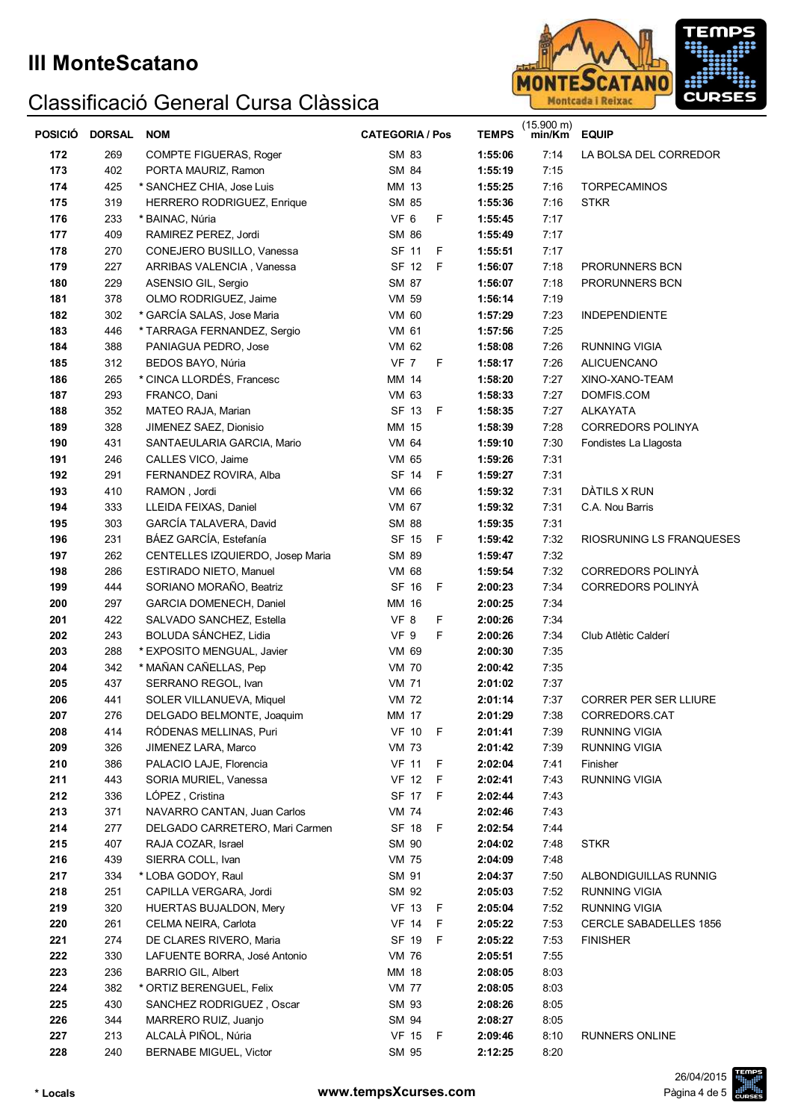

| <b>POSICIÓ</b> | <b>DORSAL</b> | <b>NOM</b>                                      | <b>CATEGORIA / Pos</b>       | <b>TEMPS</b>       | $(15.900 \text{ m})$<br>min/Km | <b>EQUIP</b>                  |
|----------------|---------------|-------------------------------------------------|------------------------------|--------------------|--------------------------------|-------------------------------|
| 172            | 269           | COMPTE FIGUERAS, Roger                          | SM 83                        | 1:55:06            | 7:14                           | LA BOLSA DEL CORREDOR         |
| 173            | 402           | PORTA MAURIZ, Ramon                             | SM 84                        | 1:55:19            | 7:15                           |                               |
| 174            | 425           | * SANCHEZ CHIA, Jose Luis                       | MM 13                        | 1:55:25            | 7:16                           | <b>TORPECAMINOS</b>           |
| 175            | 319           | HERRERO RODRIGUEZ, Enrique                      | SM 85                        | 1:55:36            | 7:16                           | <b>STKR</b>                   |
| 176            | 233           | * BAINAC, Núria                                 | VF 6<br>F                    | 1:55:45            | 7:17                           |                               |
| 177            | 409           | RAMIREZ PEREZ, Jordi                            | SM 86                        | 1:55:49            | 7:17                           |                               |
| 178            | 270           | CONEJERO BUSILLO, Vanessa                       | SF 11<br>F                   | 1:55:51            | 7:17                           |                               |
| 179            | 227           | ARRIBAS VALENCIA, Vanessa                       | SF 12<br>F                   | 1:56:07            | 7:18                           | PRORUNNERS BCN                |
| 180            | 229           | ASENSIO GIL, Sergio                             | SM 87                        | 1:56:07            | 7:18                           | PRORUNNERS BCN                |
| 181            | 378           | OLMO RODRIGUEZ, Jaime                           | VM 59                        | 1:56:14            | 7:19                           |                               |
| 182            | 302           | * GARCÍA SALAS, Jose Maria                      | VM 60                        | 1:57:29            | 7:23                           | <b>INDEPENDIENTE</b>          |
| 183            | 446           | * TARRAGA FERNANDEZ, Sergio                     | VM 61                        | 1:57:56            | 7:25                           |                               |
| 184            | 388           | PANIAGUA PEDRO, Jose                            | VM 62                        | 1:58:08            | 7:26                           | RUNNING VIGIA                 |
| 185            | 312           | BEDOS BAYO, Núria                               | <b>VF 7</b><br>F             | 1:58:17            | 7:26                           | <b>ALICUENCANO</b>            |
| 186            | 265           | * CINCA LLORDÉS, Francesc                       | MM 14                        | 1:58:20            | 7:27                           | XINO-XANO-TEAM                |
| 187            | 293           | FRANCO, Dani                                    | VM 63                        | 1:58:33            | 7:27                           | DOMFIS.COM                    |
| 188            | 352           | MATEO RAJA, Marian                              | SF 13<br>F.                  | 1:58:35            | 7:27                           | <b>ALKAYATA</b>               |
| 189            | 328           | JIMENEZ SAEZ, Dionisio                          | MM 15                        | 1:58:39            | 7:28                           | <b>CORREDORS POLINYA</b>      |
| 190            | 431           | SANTAEULARIA GARCIA, Mario                      | VM 64                        | 1:59:10            | 7:30                           | Fondistes La Llagosta         |
| 191            | 246           | CALLES VICO, Jaime                              | VM 65                        | 1:59:26            | 7:31                           |                               |
| 192            | 291           | FERNANDEZ ROVIRA, Alba                          | SF 14<br>E                   | 1:59:27            | 7:31                           |                               |
| 193            | 410           | RAMON, Jordi                                    | VM 66                        | 1:59:32            | 7:31                           | DÀTILS X RUN                  |
| 194            | 333           | LLEIDA FEIXAS, Daniel                           | VM 67                        | 1:59:32            | 7:31                           | C.A. Nou Barris               |
| 195            | 303           | GARCÍA TALAVERA, David                          | <b>SM 88</b>                 | 1:59:35            | 7:31                           |                               |
| 196            | 231           | BÁEZ GARCÍA, Estefanía                          | SF 15<br>F                   | 1:59:42            | 7:32                           | RIOSRUNING LS FRANQUESES      |
| 197            | 262           | CENTELLES IZQUIERDO, Josep Maria                | SM 89                        | 1:59:47            | 7:32                           |                               |
| 198            | 286           | ESTIRADO NIETO, Manuel                          | VM 68                        | 1:59:54            | 7:32                           | CORREDORS POLINYÀ             |
| 199            | 444           | SORIANO MORAÑO, Beatriz                         | SF 16<br>F                   | 2:00:23            | 7:34                           | CORREDORS POLINYÀ             |
| 200            | 297           | GARCIA DOMENECH, Daniel                         | MM 16                        | 2:00:25            | 7:34                           |                               |
| 201            | 422           | SALVADO SANCHEZ, Estella                        | VF 8<br>F                    | 2:00:26            | 7:34                           |                               |
| 202            | 243           | BOLUDA SÁNCHEZ, Lidia                           | VF 9<br>F<br>VM 69           | 2:00:26            | 7:34                           | Club Atlètic Calderí          |
| 203            | 288           | * EXPOSITO MENGUAL, Javier                      |                              | 2:00:30            | 7:35                           |                               |
| 204            | 342           | * MAÑAN CAÑELLAS, Pep                           | <b>VM 70</b>                 | 2:00:42            | 7:35                           |                               |
| 205<br>206     | 437<br>441    | SERRANO REGOL, Ivan<br>SOLER VILLANUEVA, Miquel | <b>VM 71</b><br><b>VM 72</b> | 2:01:02<br>2:01:14 | 7:37<br>7:37                   | <b>CORRER PER SER LLIURE</b>  |
| 207            | 276           | DELGADO BELMONTE, Joaquim                       | MM 17                        | 2:01:29            | 7:38                           | CORREDORS CAT                 |
| 208            | 414           | RODENAS MELLINAS, Puri                          | <b>VF 10 F</b>               | 2:01:41            | 7:39                           | RUNNING VIGIA                 |
| 209            | 326           | JIMENEZ LARA, Marco                             | VM 73                        | 2:01:42            | 7:39                           | <b>RUNNING VIGIA</b>          |
| 210            | 386           | PALACIO LAJE, Florencia                         | <b>VF 11</b><br>- F          | 2:02:04            | 7:41                           | Finisher                      |
| 211            | 443           | SORIA MURIEL, Vanessa                           | <b>VF 12</b><br>- F          | 2:02:41            | 7:43                           | <b>RUNNING VIGIA</b>          |
| 212            | 336           | LÓPEZ, Cristina                                 | SF 17 F                      | 2:02:44            | 7:43                           |                               |
| 213            | 371           | NAVARRO CANTAN, Juan Carlos                     | <b>VM 74</b>                 | 2:02:46            | 7:43                           |                               |
| 214            | 277           | DELGADO CARRETERO, Mari Carmen                  | SF 18<br>$-F$                | 2:02:54            | 7:44                           |                               |
| 215            | 407           | RAJA COZAR, Israel                              | SM 90                        | 2:04:02            | 7:48                           | <b>STKR</b>                   |
| 216            | 439           | SIERRA COLL, Ivan                               | <b>VM 75</b>                 | 2:04:09            | 7:48                           |                               |
| 217            | 334           | * LOBA GODOY, Raul                              | SM 91                        | 2:04:37            | 7:50                           | ALBONDIGUILLAS RUNNIG         |
| 218            | 251           | CAPILLA VERGARA, Jordi                          | SM 92                        | 2:05:03            | 7:52                           | <b>RUNNING VIGIA</b>          |
| 219            | 320           | <b>HUERTAS BUJALDON, Mery</b>                   | VF 13 F                      | 2:05:04            | 7:52                           | <b>RUNNING VIGIA</b>          |
| 220            | 261           | CELMA NEIRA, Carlota                            | <b>VF 14</b><br>- F          | 2:05:22            | 7:53                           | <b>CERCLE SABADELLES 1856</b> |
| 221            | 274           | DE CLARES RIVERO, Maria                         | SF 19<br>- F                 | 2:05:22            | 7:53                           | <b>FINISHER</b>               |
| 222            | 330           | LAFUENTE BORRA, José Antonio                    | <b>VM 76</b>                 | 2:05:51            | 7:55                           |                               |
| 223            | 236           | <b>BARRIO GIL, Albert</b>                       | MM 18                        | 2:08:05            | 8:03                           |                               |
| 224            | 382           | * ORTIZ BERENGUEL, Felix                        | <b>VM 77</b>                 | 2:08:05            | 8:03                           |                               |
| 225            | 430           | SANCHEZ RODRIGUEZ, Oscar                        | SM 93                        | 2:08:26            | 8:05                           |                               |
| 226            | 344           | MARRERO RUIZ, Juanjo                            | SM 94                        | 2:08:27            | 8:05                           |                               |
| 227            | 213           | ALCALÀ PIÑOL, Núria                             | VF 15 F                      | 2:09:46            | 8:10                           | RUNNERS ONLINE                |
| 228            | 240           | <b>BERNABE MIGUEL, Victor</b>                   | SM 95                        | 2:12:25            | 8:20                           |                               |